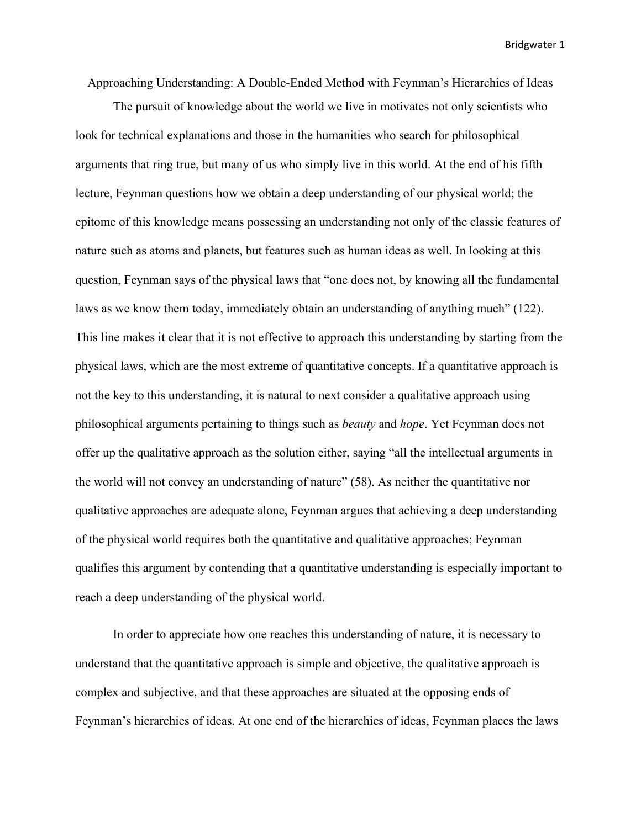Approaching Understanding: A Double-Ended Method with Feynman's Hierarchies of Ideas

The pursuit of knowledge about the world we live in motivates not only scientists who look for technical explanations and those in the humanities who search for philosophical arguments that ring true, but many of us who simply live in this world. At the end of his fifth lecture, Feynman questions how we obtain a deep understanding of our physical world; the epitome of this knowledge means possessing an understanding not only of the classic features of nature such as atoms and planets, but features such as human ideas as well. In looking at this question, Feynman says of the physical laws that "one does not, by knowing all the fundamental laws as we know them today, immediately obtain an understanding of anything much" (122). This line makes it clear that it is not effective to approach this understanding by starting from the physical laws, which are the most extreme of quantitative concepts. If a quantitative approach is not the key to this understanding, it is natural to next consider a qualitative approach using philosophical arguments pertaining to things such as *beauty* and *hope*. Yet Feynman does not offer up the qualitative approach as the solution either, saying "all the intellectual arguments in the world will not convey an understanding of nature" (58). As neither the quantitative nor qualitative approaches are adequate alone, Feynman argues that achieving a deep understanding of the physical world requires both the quantitative and qualitative approaches; Feynman qualifies this argument by contending that a quantitative understanding is especially important to reach a deep understanding of the physical world.

In order to appreciate how one reaches this understanding of nature, it is necessary to understand that the quantitative approach is simple and objective, the qualitative approach is complex and subjective, and that these approaches are situated at the opposing ends of Feynman's hierarchies of ideas. At one end of the hierarchies of ideas, Feynman places the laws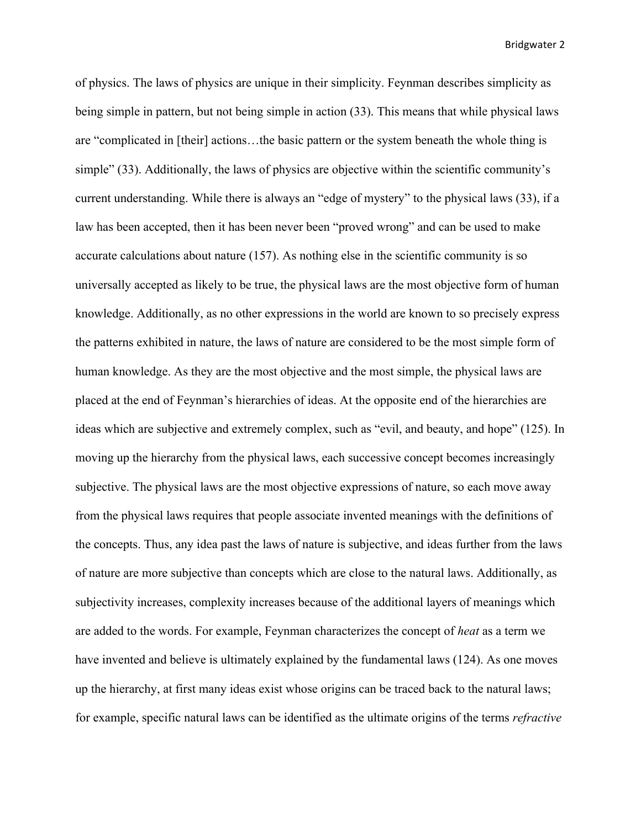of physics. The laws of physics are unique in their simplicity. Feynman describes simplicity as being simple in pattern, but not being simple in action (33). This means that while physical laws are "complicated in [their] actions…the basic pattern or the system beneath the whole thing is simple" (33). Additionally, the laws of physics are objective within the scientific community's current understanding. While there is always an "edge of mystery" to the physical laws (33), if a law has been accepted, then it has been never been "proved wrong" and can be used to make accurate calculations about nature (157). As nothing else in the scientific community is so universally accepted as likely to be true, the physical laws are the most objective form of human knowledge. Additionally, as no other expressions in the world are known to so precisely express the patterns exhibited in nature, the laws of nature are considered to be the most simple form of human knowledge. As they are the most objective and the most simple, the physical laws are placed at the end of Feynman's hierarchies of ideas. At the opposite end of the hierarchies are ideas which are subjective and extremely complex, such as "evil, and beauty, and hope" (125). In moving up the hierarchy from the physical laws, each successive concept becomes increasingly subjective. The physical laws are the most objective expressions of nature, so each move away from the physical laws requires that people associate invented meanings with the definitions of the concepts. Thus, any idea past the laws of nature is subjective, and ideas further from the laws of nature are more subjective than concepts which are close to the natural laws. Additionally, as subjectivity increases, complexity increases because of the additional layers of meanings which are added to the words. For example, Feynman characterizes the concept of *heat* as a term we have invented and believe is ultimately explained by the fundamental laws (124). As one moves up the hierarchy, at first many ideas exist whose origins can be traced back to the natural laws; for example, specific natural laws can be identified as the ultimate origins of the terms *refractive*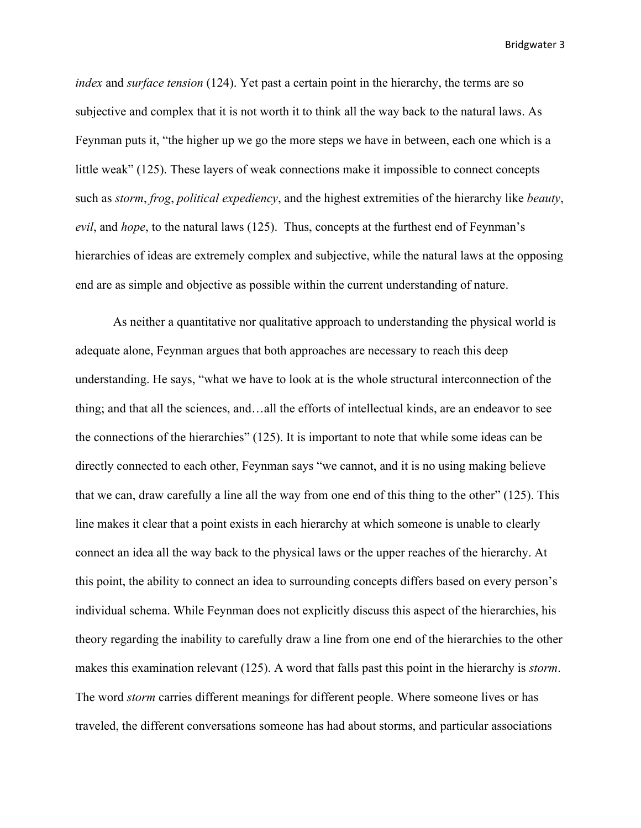*index* and *surface tension* (124). Yet past a certain point in the hierarchy, the terms are so subjective and complex that it is not worth it to think all the way back to the natural laws. As Feynman puts it, "the higher up we go the more steps we have in between, each one which is a little weak" (125). These layers of weak connections make it impossible to connect concepts such as *storm*, *frog*, *political expediency*, and the highest extremities of the hierarchy like *beauty*, *evil*, and *hope*, to the natural laws (125). Thus, concepts at the furthest end of Feynman's hierarchies of ideas are extremely complex and subjective, while the natural laws at the opposing end are as simple and objective as possible within the current understanding of nature.

As neither a quantitative nor qualitative approach to understanding the physical world is adequate alone, Feynman argues that both approaches are necessary to reach this deep understanding. He says, "what we have to look at is the whole structural interconnection of the thing; and that all the sciences, and…all the efforts of intellectual kinds, are an endeavor to see the connections of the hierarchies" (125). It is important to note that while some ideas can be directly connected to each other, Feynman says "we cannot, and it is no using making believe that we can, draw carefully a line all the way from one end of this thing to the other" (125). This line makes it clear that a point exists in each hierarchy at which someone is unable to clearly connect an idea all the way back to the physical laws or the upper reaches of the hierarchy. At this point, the ability to connect an idea to surrounding concepts differs based on every person's individual schema. While Feynman does not explicitly discuss this aspect of the hierarchies, his theory regarding the inability to carefully draw a line from one end of the hierarchies to the other makes this examination relevant (125). A word that falls past this point in the hierarchy is *storm*. The word *storm* carries different meanings for different people. Where someone lives or has traveled, the different conversations someone has had about storms, and particular associations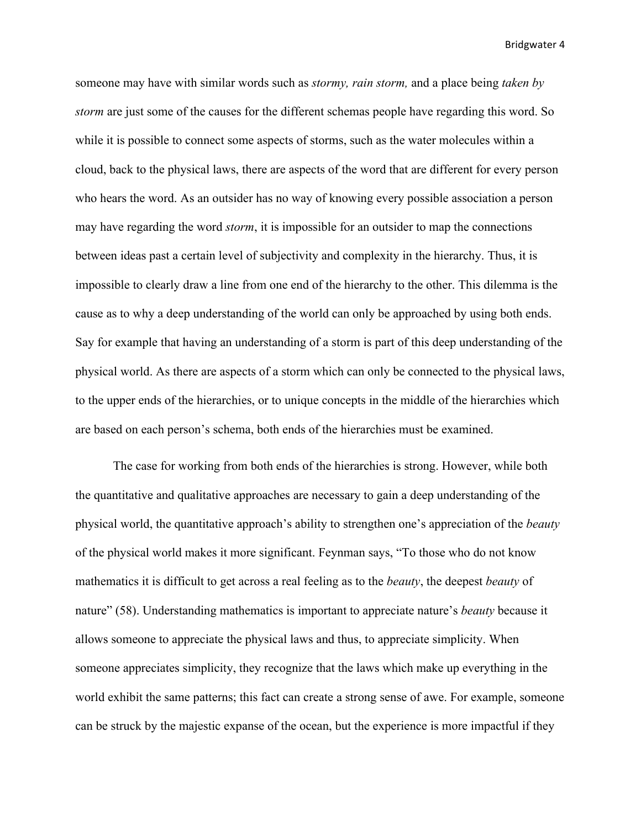someone may have with similar words such as *stormy, rain storm,* and a place being *taken by storm* are just some of the causes for the different schemas people have regarding this word. So while it is possible to connect some aspects of storms, such as the water molecules within a cloud, back to the physical laws, there are aspects of the word that are different for every person who hears the word. As an outsider has no way of knowing every possible association a person may have regarding the word *storm*, it is impossible for an outsider to map the connections between ideas past a certain level of subjectivity and complexity in the hierarchy. Thus, it is impossible to clearly draw a line from one end of the hierarchy to the other. This dilemma is the cause as to why a deep understanding of the world can only be approached by using both ends. Say for example that having an understanding of a storm is part of this deep understanding of the physical world. As there are aspects of a storm which can only be connected to the physical laws, to the upper ends of the hierarchies, or to unique concepts in the middle of the hierarchies which are based on each person's schema, both ends of the hierarchies must be examined.

The case for working from both ends of the hierarchies is strong. However, while both the quantitative and qualitative approaches are necessary to gain a deep understanding of the physical world, the quantitative approach's ability to strengthen one's appreciation of the *beauty*  of the physical world makes it more significant. Feynman says, "To those who do not know mathematics it is difficult to get across a real feeling as to the *beauty*, the deepest *beauty* of nature" (58). Understanding mathematics is important to appreciate nature's *beauty* because it allows someone to appreciate the physical laws and thus, to appreciate simplicity. When someone appreciates simplicity, they recognize that the laws which make up everything in the world exhibit the same patterns; this fact can create a strong sense of awe. For example, someone can be struck by the majestic expanse of the ocean, but the experience is more impactful if they